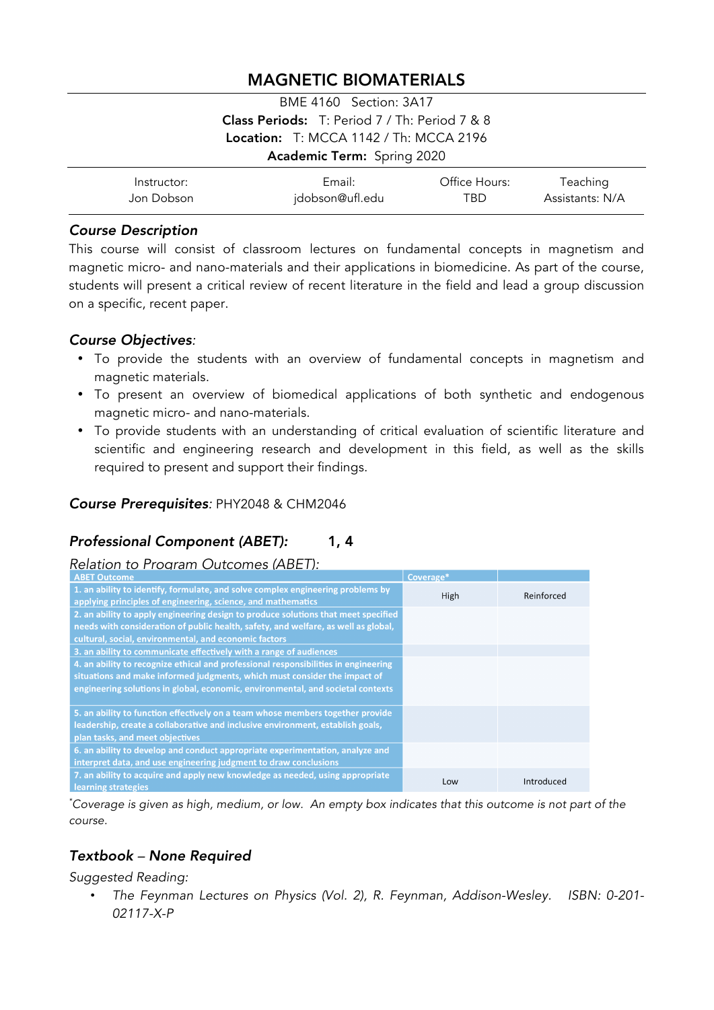# MAGNETIC BIOMATERIALS

| <b>BME 4160</b> Section: 3A17                        |  |  |  |
|------------------------------------------------------|--|--|--|
| <b>Class Periods:</b> T: Period 7 / Th: Period 7 & 8 |  |  |  |
| Location: $T: MCCA 1142 / Th: MCCA 2196$             |  |  |  |
| Academic Term: Spring 2020                           |  |  |  |

| Instructor: | Email:          | Office Hours: | Teaching        |
|-------------|-----------------|---------------|-----------------|
| Jon Dobson  | jdobson@ufl.edu | TBD.          | Assistants: N/A |

#### *Course Description*

This course will consist of classroom lectures on fundamental concepts in magnetism and magnetic micro- and nano-materials and their applications in biomedicine. As part of the course, students will present a critical review of recent literature in the field and lead a group discussion on a specific, recent paper.

## *Course Objectives:*

- To provide the students with an overview of fundamental concepts in magnetism and magnetic materials.
- To present an overview of biomedical applications of both synthetic and endogenous magnetic micro- and nano-materials.
- To provide students with an understanding of critical evaluation of scientific literature and scientific and engineering research and development in this field, as well as the skills required to present and support their findings.

# *Course Prerequisites:* PHY2048 & CHM2046

# *Professional Component (ABET):* 1, 4

# *Relation to Program Outcomes (ABET):*

| Coverage* |            |
|-----------|------------|
| High      | Reinforced |
|           |            |
|           |            |
|           |            |
|           |            |
|           |            |
|           |            |
|           |            |
|           |            |
|           |            |
|           |            |
|           |            |
| Low       | Introduced |
|           |            |

*\* Coverage is given as high, medium, or low. An empty box indicates that this outcome is not part of the course.*

# *Textbook – None Required*

*Suggested Reading:*

• *The Feynman Lectures on Physics (Vol. 2), R. Feynman, Addison-Wesley. ISBN: 0-201- 02117-X-P*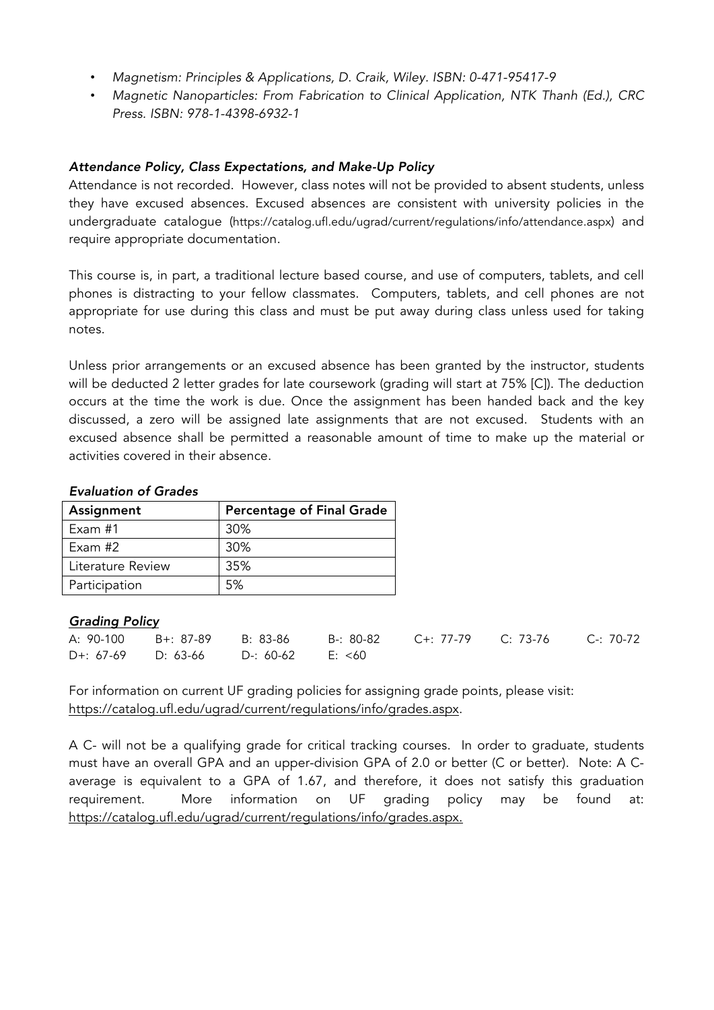- *Magnetism: Principles & Applications, D. Craik, Wiley. ISBN: 0-471-95417-9*
- *Magnetic Nanoparticles: From Fabrication to Clinical Application, NTK Thanh (Ed.), CRC Press. ISBN: 978-1-4398-6932-1*

# *Attendance Policy, Class Expectations, and Make-Up Policy*

Attendance is not recorded. However, class notes will not be provided to absent students, unless they have excused absences. Excused absences are consistent with university policies in the undergraduate catalogue (https://catalog.ufl.edu/ugrad/current/regulations/info/attendance.aspx) and require appropriate documentation.

This course is, in part, a traditional lecture based course, and use of computers, tablets, and cell phones is distracting to your fellow classmates. Computers, tablets, and cell phones are not appropriate for use during this class and must be put away during class unless used for taking notes.

Unless prior arrangements or an excused absence has been granted by the instructor, students will be deducted 2 letter grades for late coursework (grading will start at 75% [C]). The deduction occurs at the time the work is due. Once the assignment has been handed back and the key discussed, a zero will be assigned late assignments that are not excused. Students with an excused absence shall be permitted a reasonable amount of time to make up the material or activities covered in their absence.

#### *Evaluation of Grades*

| Assignment        | <b>Percentage of Final Grade</b> |
|-------------------|----------------------------------|
| Exam #1           | 30%                              |
| Exam #2           | 30%                              |
| Literature Review | 35%                              |
| Participation     | 5%                               |

#### *Grading Policy*

|                                        |  | A: 90-100 B+: 87-89 B: 83-86 B-: 80-82 C+: 77-79 C: 73-76 C-: 70-72 |  |
|----------------------------------------|--|---------------------------------------------------------------------|--|
| $D+$ : 67-69 D: 63-66 D-: 60-62 E: <60 |  |                                                                     |  |

For information on current UF grading policies for assigning grade points, please visit: https://catalog.ufl.edu/ugrad/current/regulations/info/grades.aspx.

A C- will not be a qualifying grade for critical tracking courses. In order to graduate, students must have an overall GPA and an upper-division GPA of 2.0 or better (C or better). Note: A Caverage is equivalent to a GPA of 1.67, and therefore, it does not satisfy this graduation requirement. More information on UF grading policy may be found at: https://catalog.ufl.edu/ugrad/current/regulations/info/grades.aspx.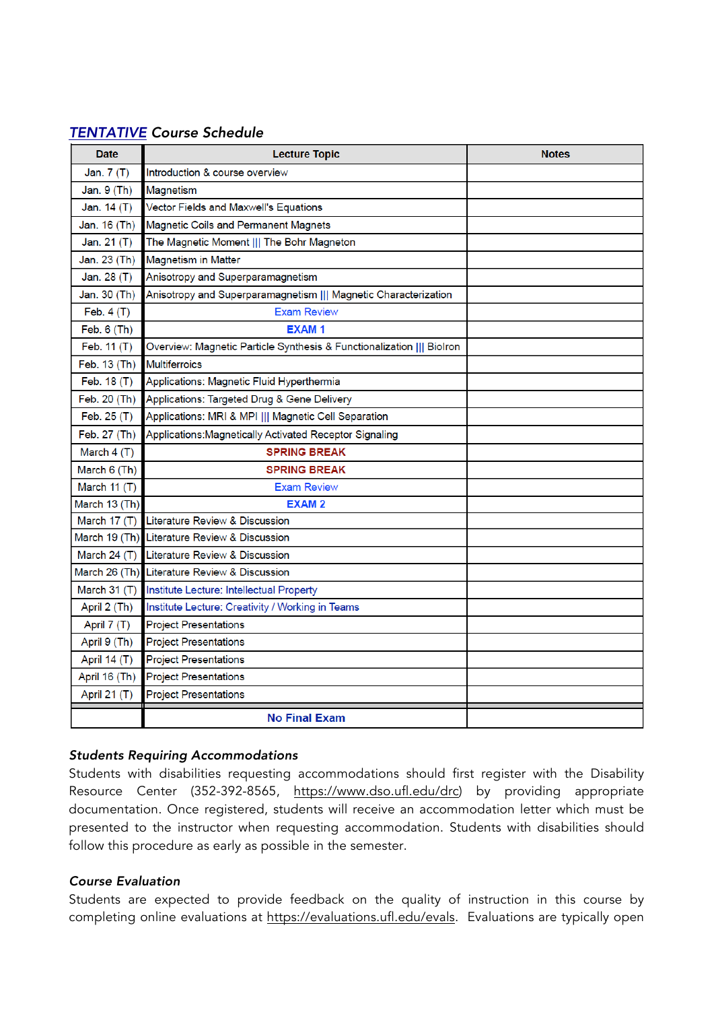# *TENTATIVE Course Schedule*

| <b>Date</b>   | <b>Lecture Topic</b>                                                 | <b>Notes</b> |
|---------------|----------------------------------------------------------------------|--------------|
| Jan. 7 (T)    | Introduction & course overview                                       |              |
| Jan. 9 (Th)   | Magnetism                                                            |              |
| Jan. 14 (T)   | Vector Fields and Maxwell's Equations                                |              |
| Jan. 16 (Th)  | <b>Magnetic Coils and Permanent Magnets</b>                          |              |
| Jan. 21 (T)   | The Magnetic Moment     The Bohr Magneton                            |              |
| Jan. 23 (Th)  | <b>Magnetism in Matter</b>                                           |              |
| Jan. 28 (T)   | Anisotropy and Superparamagnetism                                    |              |
| Jan. 30 (Th)  | Anisotropy and Superparamagnetism    Magnetic Characterization       |              |
| Feb. $4(T)$   | <b>Exam Review</b>                                                   |              |
| Feb. 6 (Th)   | <b>EXAM1</b>                                                         |              |
| Feb. 11 (T)   | Overview: Magnetic Particle Synthesis & Functionalization    Biolron |              |
| Feb. 13 (Th)  | Multiferroics                                                        |              |
| Feb. 18 (T)   | Applications: Magnetic Fluid Hyperthermia                            |              |
| Feb. 20 (Th)  | Applications: Targeted Drug & Gene Delivery                          |              |
| Feb. 25 (T)   | Applications: MRI & MPI     Magnetic Cell Separation                 |              |
| Feb. 27 (Th)  | Applications: Magnetically Activated Receptor Signaling              |              |
| March $4(T)$  | <b>SPRING BREAK</b>                                                  |              |
| March 6 (Th)  | <b>SPRING BREAK</b>                                                  |              |
| March 11 (T)  | <b>Exam Review</b>                                                   |              |
| March 13 (Th) | <b>EXAM2</b>                                                         |              |
| March 17 (T)  | Literature Review & Discussion                                       |              |
|               | March 19 (Th) Literature Review & Discussion                         |              |
| March 24 (T)  | Literature Review & Discussion                                       |              |
|               | March 26 (Th) Literature Review & Discussion                         |              |
| March $31(T)$ | Institute Lecture: Intellectual Property                             |              |
| April 2 (Th)  | Institute Lecture: Creativity / Working in Teams                     |              |
| April 7 (T)   | <b>Project Presentations</b>                                         |              |
| April 9 (Th)  | <b>Project Presentations</b>                                         |              |
| April 14 (T)  | <b>Project Presentations</b>                                         |              |
| April 16 (Th) | <b>Project Presentations</b>                                         |              |
| April 21 (T)  | <b>Project Presentations</b>                                         |              |
|               | <b>No Final Exam</b>                                                 |              |

# *Students Requiring Accommodations*

Students with disabilities requesting accommodations should first register with the Disability Resource Center (352-392-8565, https://www.dso.ufl.edu/drc) by providing appropriate documentation. Once registered, students will receive an accommodation letter which must be presented to the instructor when requesting accommodation. Students with disabilities should follow this procedure as early as possible in the semester.

#### *Course Evaluation*

Students are expected to provide feedback on the quality of instruction in this course by completing online evaluations at https://evaluations.ufl.edu/evals. Evaluations are typically open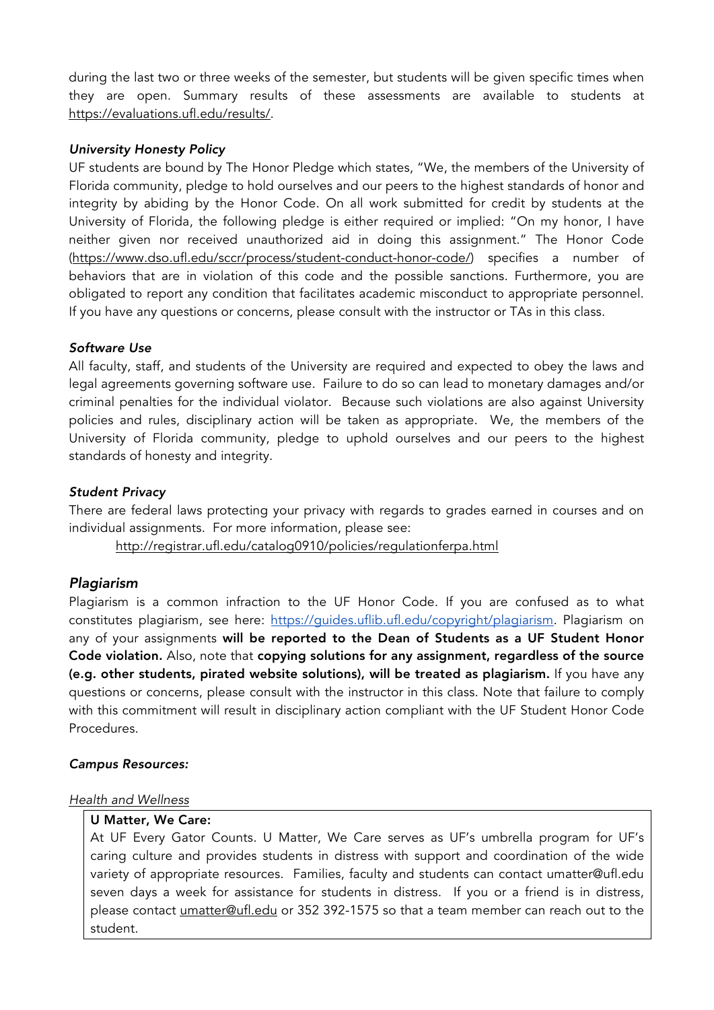during the last two or three weeks of the semester, but students will be given specific times when they are open. Summary results of these assessments are available to students at https://evaluations.ufl.edu/results/.

#### *University Honesty Policy*

UF students are bound by The Honor Pledge which states, "We, the members of the University of Florida community, pledge to hold ourselves and our peers to the highest standards of honor and integrity by abiding by the Honor Code. On all work submitted for credit by students at the University of Florida, the following pledge is either required or implied: "On my honor, I have neither given nor received unauthorized aid in doing this assignment." The Honor Code (https://www.dso.ufl.edu/sccr/process/student-conduct-honor-code/) specifies a number of behaviors that are in violation of this code and the possible sanctions. Furthermore, you are obligated to report any condition that facilitates academic misconduct to appropriate personnel. If you have any questions or concerns, please consult with the instructor or TAs in this class.

## *Software Use*

All faculty, staff, and students of the University are required and expected to obey the laws and legal agreements governing software use. Failure to do so can lead to monetary damages and/or criminal penalties for the individual violator. Because such violations are also against University policies and rules, disciplinary action will be taken as appropriate. We, the members of the University of Florida community, pledge to uphold ourselves and our peers to the highest standards of honesty and integrity.

## *Student Privacy*

There are federal laws protecting your privacy with regards to grades earned in courses and on individual assignments. For more information, please see:

http://registrar.ufl.edu/catalog0910/policies/regulationferpa.html

# *Plagiarism*

Plagiarism is a common infraction to the UF Honor Code. If you are confused as to what constitutes plagiarism, see here: https://guides.uflib.ufl.edu/copyright/plagiarism. Plagiarism on any of your assignments will be reported to the Dean of Students as a UF Student Honor Code violation. Also, note that copying solutions for any assignment, regardless of the source (e.g. other students, pirated website solutions), will be treated as plagiarism. If you have any questions or concerns, please consult with the instructor in this class. Note that failure to comply with this commitment will result in disciplinary action compliant with the UF Student Honor Code Procedures.

#### *Campus Resources:*

#### *Health and Wellness*

#### U Matter, We Care:

At UF Every Gator Counts. U Matter, We Care serves as UF's umbrella program for UF's caring culture and provides students in distress with support and coordination of the wide variety of appropriate resources. Families, faculty and students can contact umatter@ufl.edu seven days a week for assistance for students in distress. If you or a friend is in distress, please contact umatter@ufl.edu or 352 392-1575 so that a team member can reach out to the student.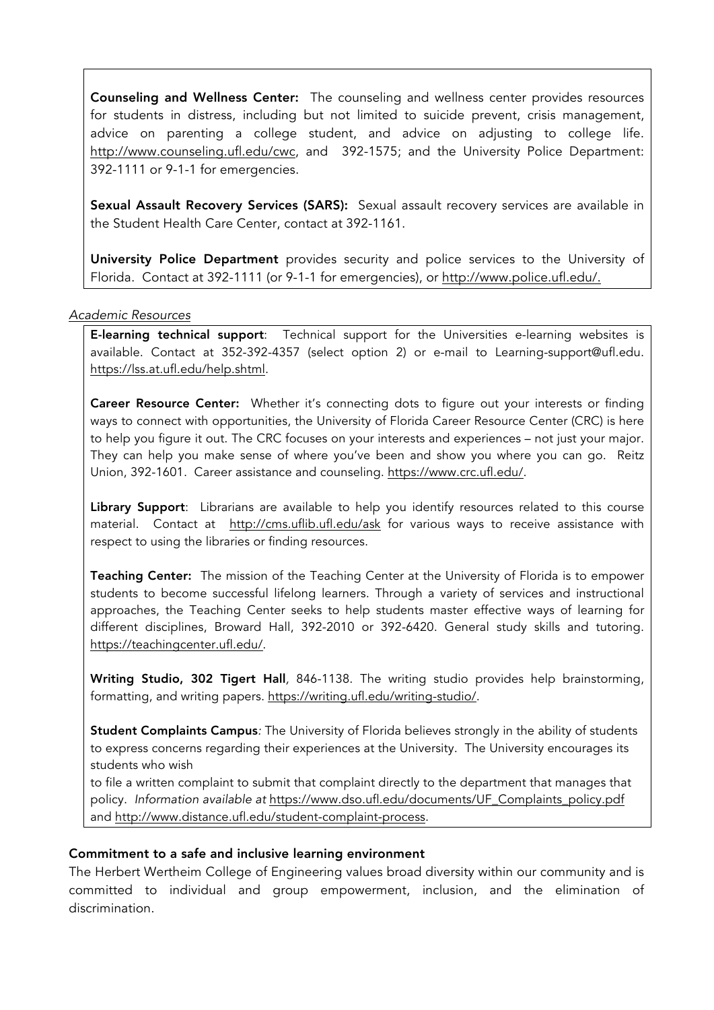Counseling and Wellness Center: The counseling and wellness center provides resources for students in distress, including but not limited to suicide prevent, crisis management, advice on parenting a college student, and advice on adjusting to college life. http://www.counseling.ufl.edu/cwc, and 392-1575; and the University Police Department: 392-1111 or 9-1-1 for emergencies.

Sexual Assault Recovery Services (SARS): Sexual assault recovery services are available in the Student Health Care Center, contact at 392-1161.

University Police Department provides security and police services to the University of Florida. Contact at 392-1111 (or 9-1-1 for emergencies), or http://www.police.ufl.edu/.

*Academic Resources*

E-learning technical support: Technical support for the Universities e-learning websites is available. Contact at 352-392-4357 (select option 2) or e-mail to Learning-support@ufl.edu. https://lss.at.ufl.edu/help.shtml.

Career Resource Center: Whether it's connecting dots to figure out your interests or finding ways to connect with opportunities, the University of Florida Career Resource Center (CRC) is here to help you figure it out. The CRC focuses on your interests and experiences – not just your major. They can help you make sense of where you've been and show you where you can go. Reitz Union, 392-1601. Career assistance and counseling. https://www.crc.ufl.edu/.

Library Support: Librarians are available to help you identify resources related to this course material. Contact at http://cms.uflib.ufl.edu/ask for various ways to receive assistance with respect to using the libraries or finding resources.

Teaching Center: The mission of the Teaching Center at the University of Florida is to empower students to become successful lifelong learners. Through a variety of services and instructional approaches, the Teaching Center seeks to help students master effective ways of learning for different disciplines, Broward Hall, 392-2010 or 392-6420. General study skills and tutoring. https://teachingcenter.ufl.edu/.

Writing Studio, 302 Tigert Hall*,* 846-1138. The writing studio provides help brainstorming, formatting, and writing papers. https://writing.ufl.edu/writing-studio/.

Student Complaints Campus*:* The University of Florida believes strongly in the ability of students to express concerns regarding their experiences at the University. The University encourages its students who wish

to file a written complaint to submit that complaint directly to the department that manages that policy. *Information available at* https://www.dso.ufl.edu/documents/UF\_Complaints\_policy.pdf and http://www.distance.ufl.edu/student-complaint-process.

# Commitment to a safe and inclusive learning environment

The Herbert Wertheim College of Engineering values broad diversity within our community and is committed to individual and group empowerment, inclusion, and the elimination of discrimination.